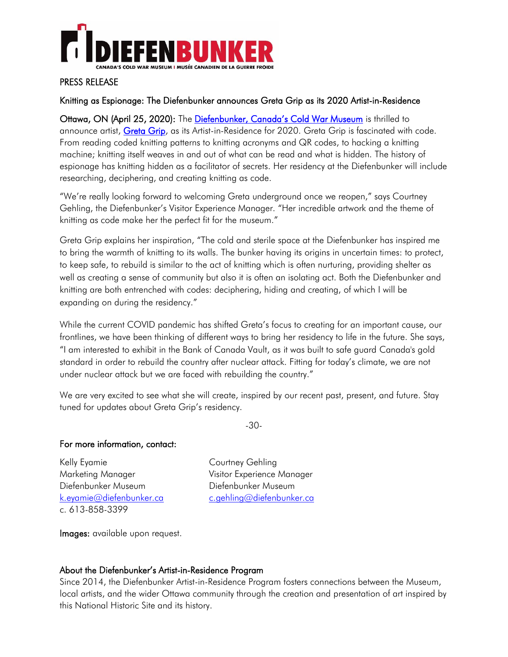

## PRESS RELEASE

## Knitting as Espionage: The Diefenbunker announces Greta Grip as its 2020 Artist-in-Residence

Ottawa, ON (April 25, 2020): The [Diefenbunker, Canada's Cold War Museum](http://diefenbunker.ca/) is thrilled to announce artist, [Greta Grip,](http://www.gretagrip.com/) as its Artist-in-Residence for 2020. Greta Grip is fascinated with code. From reading coded knitting patterns to knitting acronyms and QR codes, to hacking a knitting machine; knitting itself weaves in and out of what can be read and what is hidden. The history of espionage has knitting hidden as a facilitator of secrets. Her residency at the Diefenbunker will include researching, deciphering, and creating knitting as code.

"We're really looking forward to welcoming Greta underground once we reopen," says Courtney Gehling, the Diefenbunker's Visitor Experience Manager. "Her incredible artwork and the theme of knitting as code make her the perfect fit for the museum."

Greta Grip explains her inspiration, "The cold and sterile space at the Diefenbunker has inspired me to bring the warmth of knitting to its walls. The bunker having its origins in uncertain times: to protect, to keep safe, to rebuild is similar to the act of knitting which is often nurturing, providing shelter as well as creating a sense of community but also it is often an isolating act. Both the Diefenbunker and knitting are both entrenched with codes: deciphering, hiding and creating, of which I will be expanding on during the residency."

While the current COVID pandemic has shifted Greta's focus to creating for an important cause, our frontlines, we have been thinking of different ways to bring her residency to life in the future. She says, "I am interested to exhibit in the Bank of Canada Vault, as it was built to safe guard Canada's gold standard in order to rebuild the country after nuclear attack. Fitting for today's climate, we are not under nuclear attack but we are faced with rebuilding the country."

We are very excited to see what she will create, inspired by our recent past, present, and future. Stay tuned for updates about Greta Grip's residency.

-30-

### For more information, contact:

Kelly Eyamie **Courtney Gehling** Marketing Manager Visitor Experience Manager Diefenbunker Museum Diefenbunker Museum [k.eyamie@diefenbunker.ca](mailto:k.eyamie@diefenbunker.ca) [c.gehling@diefenbunker.ca](mailto:c.gehling@diefenbunker.ca) c. 613-858-3399

Images: available upon request.

### About the Diefenbunker's Artist-in-Residence Program

Since 2014, the Diefenbunker Artist-in-Residence Program fosters connections between the Museum, local artists, and the wider Ottawa community through the creation and presentation of art inspired by this National Historic Site and its history.